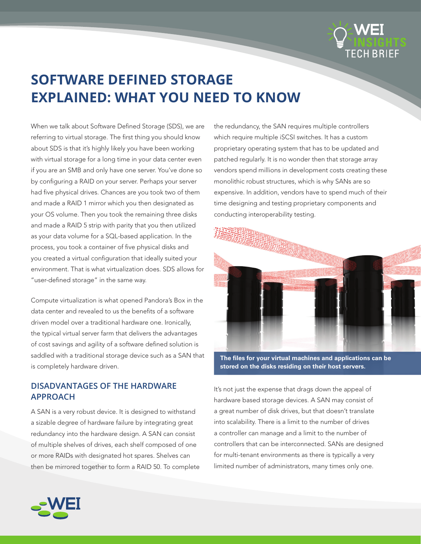

# **SOFTWARE DEFINED STORAGE EXPLAINED: WHAT YOU NEED TO KNOW**

When we talk about Software Defined Storage (SDS), we are referring to virtual storage. The first thing you should know about SDS is that it's highly likely you have been working with virtual storage for a long time in your data center even if you are an SMB and only have one server. You've done so by configuring a RAID on your server. Perhaps your server had five physical drives. Chances are you took two of them and made a RAID 1 mirror which you then designated as your OS volume. Then you took the remaining three disks and made a RAID 5 strip with parity that you then utilized as your data volume for a SQL-based application. In the process, you took a container of five physical disks and you created a virtual configuration that ideally suited your environment. That is what virtualization does. SDS allows for "user-defined storage" in the same way.

Compute virtualization is what opened Pandora's Box in the data center and revealed to us the benefits of a software driven model over a traditional hardware one. Ironically, the typical virtual server farm that delivers the advantages of cost savings and agility of a software defined solution is saddled with a traditional storage device such as a SAN that is completely hardware driven.

# **DISADVANTAGES OF THE HARDWARE APPROACH**

A SAN is a very robust device. It is designed to withstand a sizable degree of hardware failure by integrating great redundancy into the hardware design. A SAN can consist of multiple shelves of drives, each shelf composed of one or more RAIDs with designated hot spares. Shelves can then be mirrored together to form a RAID 50. To complete the redundancy, the SAN requires multiple controllers which require multiple iSCSI switches. It has a custom proprietary operating system that has to be updated and patched regularly. It is no wonder then that storage array vendors spend millions in development costs creating these monolithic robust structures, which is why SANs are so expensive. In addition, vendors have to spend much of their time designing and testing proprietary components and conducting interoperability testing.



**The files for your virtual machines and applications can be stored on the disks residing on their host servers.**

It's not just the expense that drags down the appeal of hardware based storage devices. A SAN may consist of a great number of disk drives, but that doesn't translate into scalability. There is a limit to the number of drives a controller can manage and a limit to the number of controllers that can be interconnected. SANs are designed for multi-tenant environments as there is typically a very limited number of administrators, many times only one.

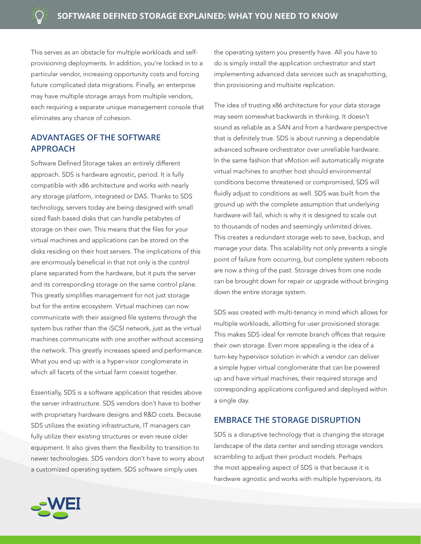This serves as an obstacle for multiple workloads and selfprovisioning deployments. In addition, you're locked in to a particular vendor, increasing opportunity costs and forcing future complicated data migrations. Finally, an enterprise may have multiple storage arrays from multiple vendors, each requiring a separate unique management console that eliminates any chance of cohesion.

# **ADVANTAGES OF THE SOFTWARE APPROACH**

Software Defined Storage takes an entirely different approach. SDS is hardware agnostic, period. It is fully compatible with x86 architecture and works with nearly any storage platform, integrated or DAS. Thanks to SDS technology, servers today are being designed with small sized flash based disks that can handle petabytes of storage on their own. This means that the files for your virtual machines and applications can be stored on the disks residing on their host servers. The implications of this are enormously beneficial in that not only is the control plane separated from the hardware, but it puts the server and its corresponding storage on the same control plane. This greatly simplifies management for not just storage but for the entire ecosystem. Virtual machines can now communicate with their assigned file systems through the system bus rather than the iSCSI network, just as the virtual machines communicate with one another without accessing the network. This greatly increases speed and performance. What you end up with is a hyper-visor conglomerate in which all facets of the virtual farm coexist together.

Essentially, SDS is a software application that resides above the server infrastructure. SDS vendors don't have to bother with proprietary hardware designs and R&D costs. Because SDS utilizes the existing infrastructure, IT managers can fully utilize their existing structures or even reuse older equipment. It also gives them the flexibility to transition to newer technologies. SDS vendors don't have to worry about a customized operating system. SDS software simply uses

the operating system you presently have. All you have to do is simply install the application orchestrator and start implementing advanced data services such as snapshotting, thin provisioning and multisite replication.

The idea of trusting x86 architecture for your data storage may seem somewhat backwards in thinking. It doesn't sound as reliable as a SAN and from a hardware perspective that is definitely true. SDS is about running a dependable advanced software orchestrator over unreliable hardware. In the same fashion that vMotion will automatically migrate virtual machines to another host should environmental conditions become threatened or compromised, SDS will fluidly adjust to conditions as well. SDS was built from the ground up with the complete assumption that underlying hardware will fail, which is why it is designed to scale out to thousands of nodes and seemingly unlimited drives. This creates a redundant storage web to save, backup, and manage your data. This scalability not only prevents a single point of failure from occurring, but complete system reboots are now a thing of the past. Storage drives from one node can be brought down for repair or upgrade without bringing down the entire storage system.

SDS was created with multi-tenancy in mind which allows for multiple workloads, allotting for user provisioned storage. This makes SDS ideal for remote branch offices that require their own storage. Even more appealing is the idea of a turn-key hypervisor solution in which a vendor can deliver a simple hyper virtual conglomerate that can be powered up and have virtual machines, their required storage and corresponding applications configured and deployed within a single day.

#### **EMBRACE THE STORAGE DISRUPTION**

SDS is a disruptive technology that is changing the storage landscape of the data center and sending storage vendors scrambling to adjust their product models. Perhaps the most appealing aspect of SDS is that because it is hardware agnostic and works with multiple hypervisors, its